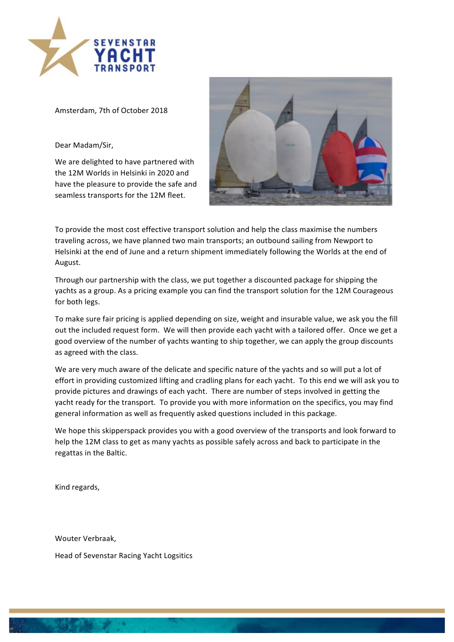

Amsterdam, 7th of October 2018

Dear Madam/Sir,

We are delighted to have partnered with the 12M Worlds in Helsinki in 2020 and have the pleasure to provide the safe and seamless transports for the 12M fleet.



To provide the most cost effective transport solution and help the class maximise the numbers traveling across, we have planned two main transports; an outbound sailing from Newport to Helsinki at the end of June and a return shipment immediately following the Worlds at the end of August.

Through our partnership with the class, we put together a discounted package for shipping the yachts as a group. As a pricing example you can find the transport solution for the 12M Courageous for both legs.

To make sure fair pricing is applied depending on size, weight and insurable value, we ask you the fill out the included request form. We will then provide each vacht with a tailored offer. Once we get a good overview of the number of yachts wanting to ship together, we can apply the group discounts as agreed with the class.

We are very much aware of the delicate and specific nature of the yachts and so will put a lot of effort in providing customized lifting and cradling plans for each vacht. To this end we will ask you to provide pictures and drawings of each yacht. There are number of steps involved in getting the yacht ready for the transport. To provide you with more information on the specifics, you may find general information as well as frequently asked questions included in this package.

We hope this skipperspack provides you with a good overview of the transports and look forward to help the 12M class to get as many yachts as possible safely across and back to participate in the regattas in the Baltic.

Kind regards,

Wouter Verbraak,

Head of Sevenstar Racing Yacht Logsitics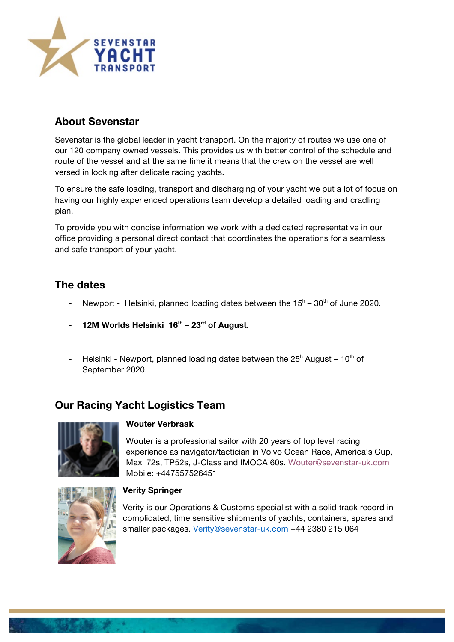

## **About Sevenstar**

Sevenstar is the global leader in yacht transport. On the majority of routes we use one of our 120 company owned vessels. This provides us with better control of the schedule and route of the vessel and at the same time it means that the crew on the vessel are well versed in looking after delicate racing yachts.

To ensure the safe loading, transport and discharging of your yacht we put a lot of focus on having our highly experienced operations team develop a detailed loading and cradling plan.

To provide you with concise information we work with a dedicated representative in our office providing a personal direct contact that coordinates the operations for a seamless and safe transport of your yacht.

## **The dates**

- Newport Helsinki, planned loading dates between the  $15<sup>h</sup> 30<sup>th</sup>$  of June 2020.
- **12M Worlds Helsinki 16th – 23rd of August.**
- Helsinki Newport, planned loading dates between the  $25<sup>h</sup>$  August 10<sup>th</sup> of September 2020.

## **Our Racing Yacht Logistics Team**



## **Wouter Verbraak**

Wouter is a professional sailor with 20 years of top level racing experience as navigator/tactician in Volvo Ocean Race, America's Cup, Maxi 72s, TP52s, J-Class and IMOCA 60s. Wouter@sevenstar-uk.com Mobile: +447557526451



## **Verity Springer**

Verity is our Operations & Customs specialist with a solid track record in complicated, time sensitive shipments of yachts, containers, spares and smaller packages. Verity@sevenstar-uk.com +44 2380 215 064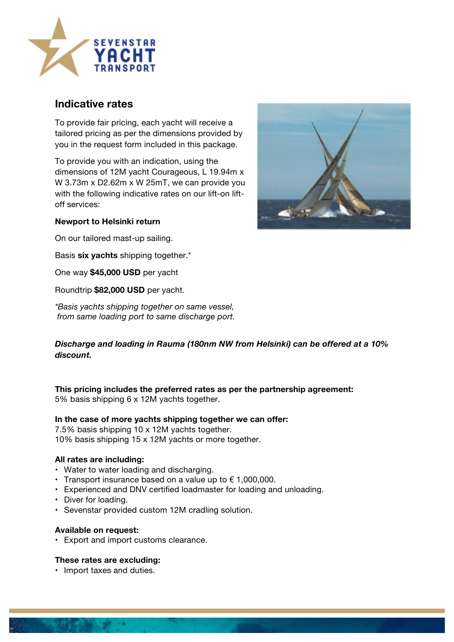

## **Indicative rates**

To provide fair pricing, each yacht will receive a tailored pricing as per the dimensions provided by you in the request form included in this package.

To provide you with an indication, using the dimensions of 12M yacht Courageous, L 19.94m x W 3.73m x D2.62m x W 25mT, we can provide you with the following indicative rates on our lift-on liftoff services:



## **Newport to Helsinki return**

On our tailored mast-up sailing.

Basis **six yachts** shipping together.\*

One way **\$45,000 USD** per yacht

Roundtrip **\$82,000 USD** per yacht.

*\*Basis yachts shipping together on same vessel, from same loading port to same discharge port.*

## *Discharge and loading in Rauma (180nm NW from Helsinki) can be offered at a 10% discount.*

**This pricing includes the preferred rates as per the partnership agreement:** 5% basis shipping 6 x 12M yachts together.

## **In the case of more yachts shipping together we can offer:**

7.5% basis shipping 10 x 12M yachts together. 10% basis shipping 15 x 12M yachts or more together.

## **All rates are including:**

- Water to water loading and discharging.
- Transport insurance based on a value up to  $\epsilon$  1,000,000.
- Experienced and DNV certified loadmaster for loading and unloading.
- Diver for loading.
- Sevenstar provided custom 12M cradling solution.

## **Available on request:**

• Export and import customs clearance.

## **These rates are excluding:**

• Import taxes and duties.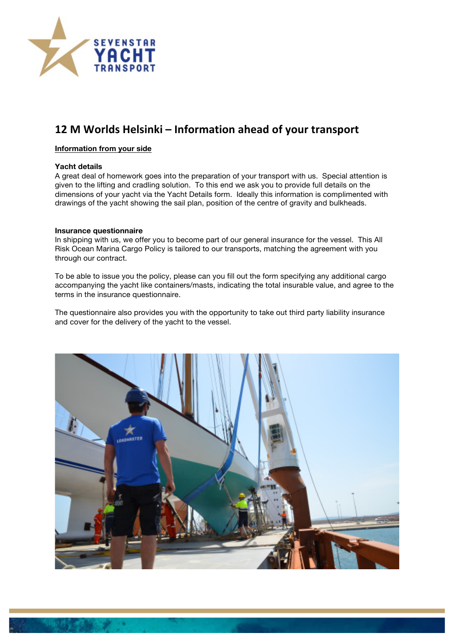

# **12 M Worlds Helsinki – Information ahead of your transport**

## **Information from your side**

#### **Yacht details**

A great deal of homework goes into the preparation of your transport with us. Special attention is given to the lifting and cradling solution. To this end we ask you to provide full details on the dimensions of your yacht via the Yacht Details form. Ideally this information is complimented with drawings of the yacht showing the sail plan, position of the centre of gravity and bulkheads.

#### **Insurance questionnaire**

In shipping with us, we offer you to become part of our general insurance for the vessel. This All Risk Ocean Marina Cargo Policy is tailored to our transports, matching the agreement with you through our contract.

To be able to issue you the policy, please can you fill out the form specifying any additional cargo accompanying the yacht like containers/masts, indicating the total insurable value, and agree to the terms in the insurance questionnaire.

The questionnaire also provides you with the opportunity to take out third party liability insurance and cover for the delivery of the yacht to the vessel.

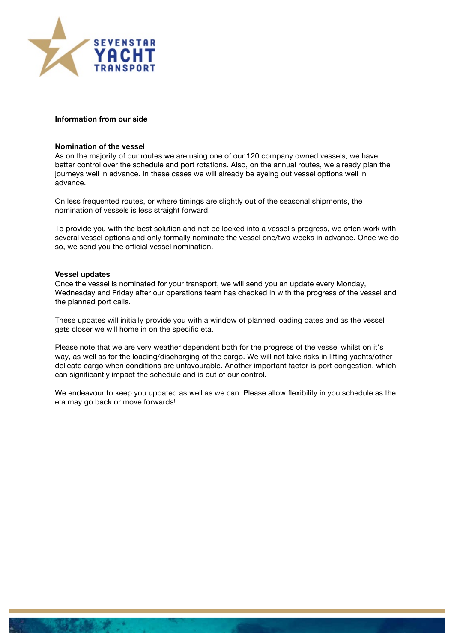

## **Information from our side**

#### **Nomination of the vessel**

As on the majority of our routes we are using one of our 120 company owned vessels, we have better control over the schedule and port rotations. Also, on the annual routes, we already plan the journeys well in advance. In these cases we will already be eyeing out vessel options well in advance.

On less frequented routes, or where timings are slightly out of the seasonal shipments, the nomination of vessels is less straight forward.

To provide you with the best solution and not be locked into a vessel's progress, we often work with several vessel options and only formally nominate the vessel one/two weeks in advance. Once we do so, we send you the official vessel nomination.

#### **Vessel updates**

Once the vessel is nominated for your transport, we will send you an update every Monday, Wednesday and Friday after our operations team has checked in with the progress of the vessel and the planned port calls.

These updates will initially provide you with a window of planned loading dates and as the vessel gets closer we will home in on the specific eta.

Please note that we are very weather dependent both for the progress of the vessel whilst on it's way, as well as for the loading/discharging of the cargo. We will not take risks in lifting yachts/other delicate cargo when conditions are unfavourable. Another important factor is port congestion, which can significantly impact the schedule and is out of our control.

We endeavour to keep you updated as well as we can. Please allow flexibility in you schedule as the eta may go back or move forwards!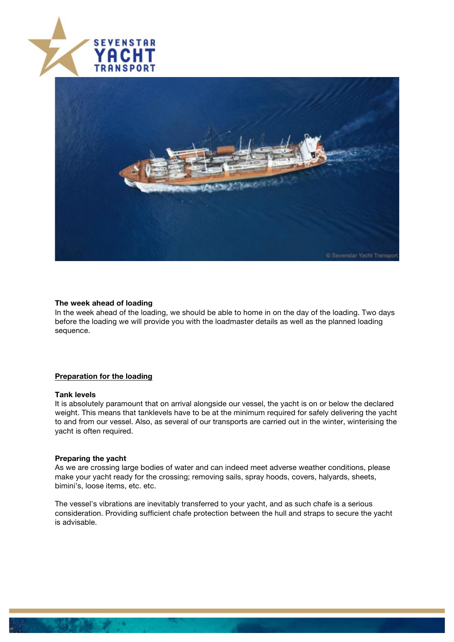



#### **The week ahead of loading**

In the week ahead of the loading, we should be able to home in on the day of the loading. Two days before the loading we will provide you with the loadmaster details as well as the planned loading sequence.

## **Preparation for the loading**

#### **Tank levels**

It is absolutely paramount that on arrival alongside our vessel, the yacht is on or below the declared weight. This means that tanklevels have to be at the minimum required for safely delivering the yacht to and from our vessel. Also, as several of our transports are carried out in the winter, winterising the yacht is often required.

#### **Preparing the yacht**

As we are crossing large bodies of water and can indeed meet adverse weather conditions, please make your yacht ready for the crossing; removing sails, spray hoods, covers, halyards, sheets, bimini's, loose items, etc. etc.

The vessel's vibrations are inevitably transferred to your yacht, and as such chafe is a serious consideration. Providing sufficient chafe protection between the hull and straps to secure the yacht is advisable.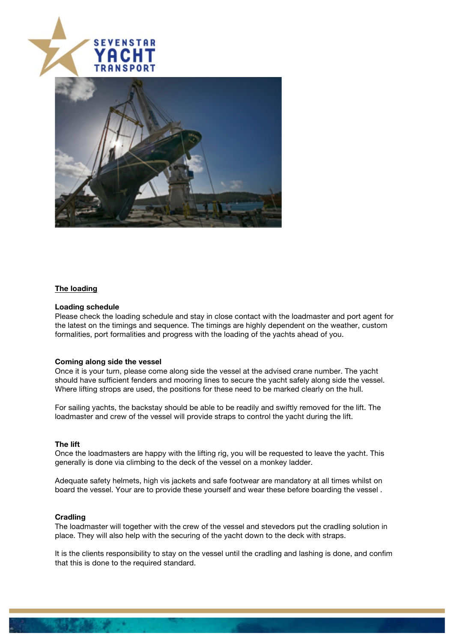



## **The loading**

#### **Loading schedule**

Please check the loading schedule and stay in close contact with the loadmaster and port agent for the latest on the timings and sequence. The timings are highly dependent on the weather, custom formalities, port formalities and progress with the loading of the yachts ahead of you.

#### **Coming along side the vessel**

Once it is your turn, please come along side the vessel at the advised crane number. The yacht should have sufficient fenders and mooring lines to secure the yacht safely along side the vessel. Where lifting strops are used, the positions for these need to be marked clearly on the hull.

For sailing yachts, the backstay should be able to be readily and swiftly removed for the lift. The loadmaster and crew of the vessel will provide straps to control the yacht during the lift.

#### **The lift**

Once the loadmasters are happy with the lifting rig, you will be requested to leave the yacht. This generally is done via climbing to the deck of the vessel on a monkey ladder.

Adequate safety helmets, high vis jackets and safe footwear are mandatory at all times whilst on board the vessel. Your are to provide these yourself and wear these before boarding the vessel .

#### **Cradling**

The loadmaster will together with the crew of the vessel and stevedors put the cradling solution in place. They will also help with the securing of the yacht down to the deck with straps.

It is the clients responsibility to stay on the vessel until the cradling and lashing is done, and confim that this is done to the required standard.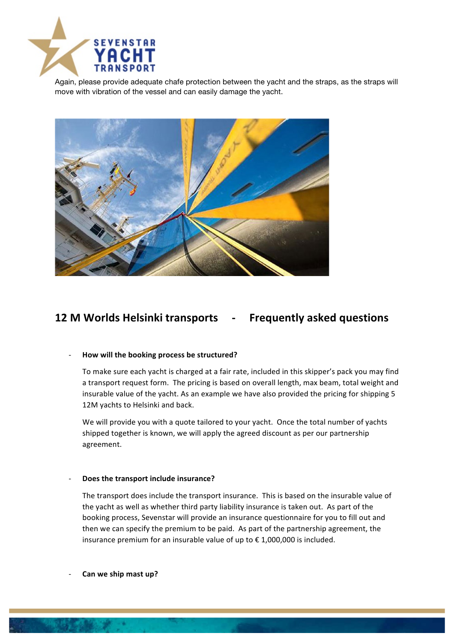

Again, please provide adequate chafe protection between the yacht and the straps, as the straps will move with vibration of the vessel and can easily damage the yacht.



# **12 M Worlds Helsinki transports - Frequently asked questions**

## - **How will the booking process be structured?**

To make sure each yacht is charged at a fair rate, included in this skipper's pack you may find a transport request form. The pricing is based on overall length, max beam, total weight and insurable value of the yacht. As an example we have also provided the pricing for shipping 5 12M yachts to Helsinki and back.

We will provide you with a quote tailored to your yacht. Once the total number of yachts shipped together is known, we will apply the agreed discount as per our partnership agreement. 

#### **Does the transport include insurance?**

The transport does include the transport insurance. This is based on the insurable value of the yacht as well as whether third party liability insurance is taken out. As part of the booking process, Sevenstar will provide an insurance questionnaire for you to fill out and then we can specify the premium to be paid. As part of the partnership agreement, the insurance premium for an insurable value of up to  $\epsilon$  1,000,000 is included.

Can we ship mast up?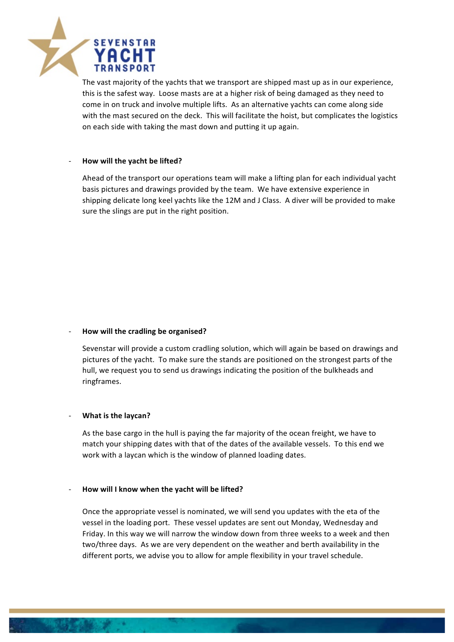

The vast majority of the yachts that we transport are shipped mast up as in our experience, this is the safest way. Loose masts are at a higher risk of being damaged as they need to come in on truck and involve multiple lifts. As an alternative yachts can come along side with the mast secured on the deck. This will facilitate the hoist, but complicates the logistics on each side with taking the mast down and putting it up again.

## How will the yacht be lifted?

Ahead of the transport our operations team will make a lifting plan for each individual yacht basis pictures and drawings provided by the team. We have extensive experience in shipping delicate long keel yachts like the 12M and J Class. A diver will be provided to make sure the slings are put in the right position.

## How will the cradling be organised?

Sevenstar will provide a custom cradling solution, which will again be based on drawings and pictures of the yacht. To make sure the stands are positioned on the strongest parts of the hull, we request you to send us drawings indicating the position of the bulkheads and ringframes.

## **What is the laycan?**

As the base cargo in the hull is paying the far majority of the ocean freight, we have to match your shipping dates with that of the dates of the available vessels. To this end we work with a laycan which is the window of planned loading dates.

## How will I know when the yacht will be lifted?

Once the appropriate vessel is nominated, we will send you updates with the eta of the vessel in the loading port. These vessel updates are sent out Monday, Wednesday and Friday. In this way we will narrow the window down from three weeks to a week and then two/three days. As we are very dependent on the weather and berth availability in the different ports, we advise you to allow for ample flexibility in your travel schedule.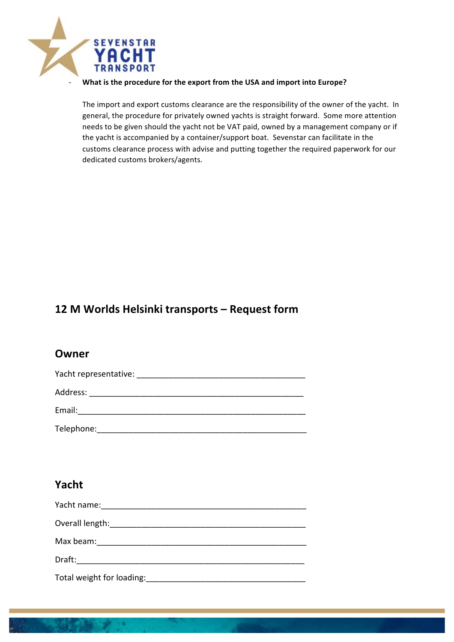

## What is the procedure for the export from the USA and import into Europe?

The import and export customs clearance are the responsibility of the owner of the yacht. In general, the procedure for privately owned yachts is straight forward. Some more attention needs to be given should the yacht not be VAT paid, owned by a management company or if the yacht is accompanied by a container/support boat. Sevenstar can facilitate in the customs clearance process with advise and putting together the required paperwork for our dedicated customs brokers/agents.

# **12 M Worlds Helsinki transports – Request form**

## **Owner**

| Yacht representative: |
|-----------------------|
| Address:              |
| Email:                |
| Telephone:            |

# **Yacht**